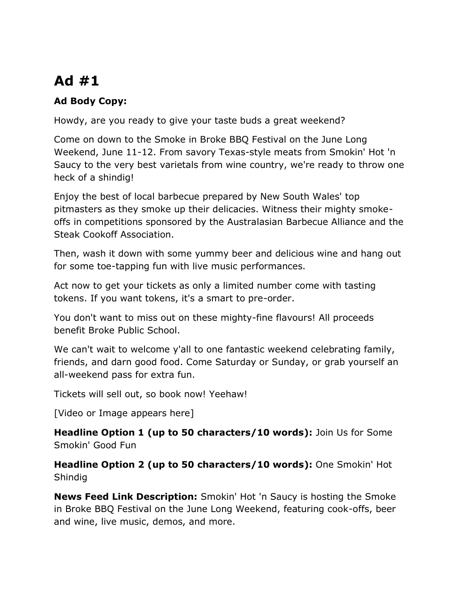## **Ad #1**

## **Ad Body Copy:**

Howdy, are you ready to give your taste buds a great weekend?

Come on down to the Smoke in Broke BBQ Festival on the June Long Weekend, June 11-12. From savory Texas-style meats from Smokin' Hot 'n Saucy to the very best varietals from wine country, we're ready to throw one heck of a shindig!

Enjoy the best of local barbecue prepared by New South Wales' top pitmasters as they smoke up their delicacies. Witness their mighty smokeoffs in competitions sponsored by the Australasian Barbecue Alliance and the Steak Cookoff Association.

Then, wash it down with some yummy beer and delicious wine and hang out for some toe-tapping fun with live music performances.

Act now to get your tickets as only a limited number come with tasting tokens. If you want tokens, it's a smart to pre-order.

You don't want to miss out on these mighty-fine flavours! All proceeds benefit Broke Public School.

We can't wait to welcome y'all to one fantastic weekend celebrating family, friends, and darn good food. Come Saturday or Sunday, or grab yourself an all-weekend pass for extra fun.

Tickets will sell out, so book now! Yeehaw!

[Video or Image appears here]

**Headline Option 1 (up to 50 characters/10 words):** Join Us for Some Smokin' Good Fun

**Headline Option 2 (up to 50 characters/10 words):** One Smokin' Hot Shindig

**News Feed Link Description:** Smokin' Hot 'n Saucy is hosting the Smoke in Broke BBQ Festival on the June Long Weekend, featuring cook-offs, beer and wine, live music, demos, and more.